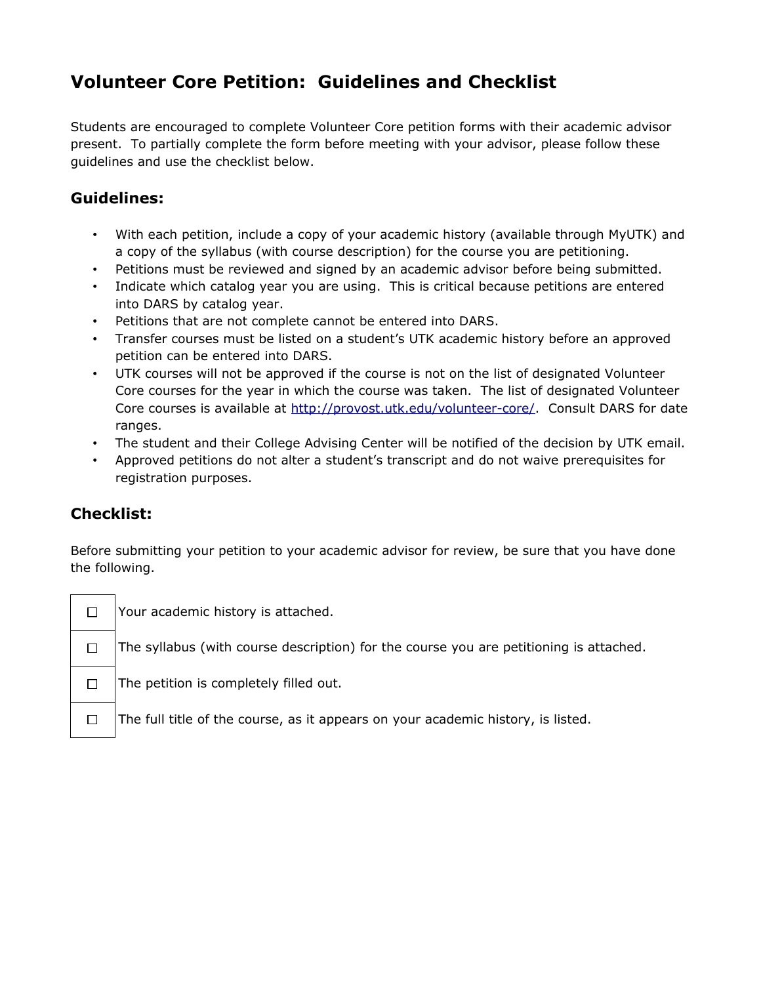## **Volunteer Core Petition: Guidelines and Checklist**

Students are encouraged to complete Volunteer Core petition forms with their academic advisor present. To partially complete the form before meeting with your advisor, please follow these guidelines and use the checklist below.

## **Guidelines:**

- With each petition, include a copy of your academic history (available through MyUTK) and a copy of the syllabus (with course description) for the course you are petitioning.
- Petitions must be reviewed and signed by an academic advisor before being submitted.
- Indicate which catalog year you are using. This is critical because petitions are entered into DARS by catalog year.
- Petitions that are not complete cannot be entered into DARS.
- Transfer courses must be listed on a student's UTK academic history before an approved petition can be entered into DARS.
- UTK courses will not be approved if the course is not on the list of designated Volunteer Core courses for the year in which the course was taken. The list of designated Volunteer Core courses is available at [http://provost.utk.edu/volunteer-core/.](http://provost.utk.edu/volunteer-core/) Consult DARS for date ranges.
- The student and their College Advising Center will be notified of the decision by UTK email.
- Approved petitions do not alter a student's transcript and do not waive prerequisites for registration purposes.

## **Checklist:**

Before submitting your petition to your academic advisor for review, be sure that you have done the following.

| □      |
|--------|
| П      |
| $\Box$ |
|        |

Your academic history is attached.

The syllabus (with course description) for the course you are petitioning is attached.

The petition is completely filled out.

The full title of the course, as it appears on your academic history, is listed.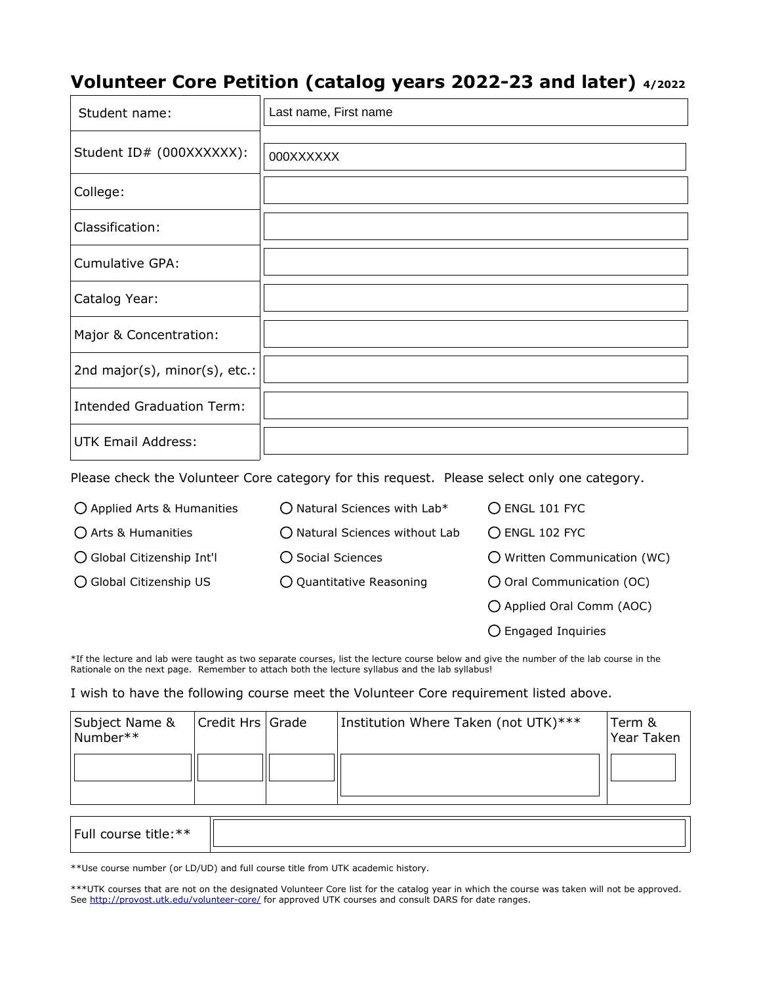## **Volunteer Core Petition (catalog years 2022-23 and later) 4/2022**

| Student name:                    | Last name, First name            |
|----------------------------------|----------------------------------|
| Student ID# (000XXXXXX):         | 000XXXXXX                        |
| College:                         | $\vert \mathbf{v} \vert$         |
| Classification:                  | $\vert \blacktriangledown \vert$ |
| <b>Cumulative GPA:</b>           |                                  |
| Catalog Year:                    |                                  |
| Major & Concentration:           |                                  |
| 2nd major(s), minor(s), etc.:    |                                  |
| <b>Intended Graduation Term:</b> |                                  |
| <b>UTK Email Address:</b>        |                                  |

Please check the Volunteer Core category for this request. Please select only one category.

| ◯ Applied Arts & Humanities | $\bigcirc$ Natural Sciences with Lab*   | O ENGL 101 FYC                     |
|-----------------------------|-----------------------------------------|------------------------------------|
| ○ Arts & Humanities         | $\bigcirc$ Natural Sciences without Lab | O ENGL 102 FYC                     |
| ◯ Global Citizenship Int'l  | ◯ Social Sciences                       | O Written Communication (WC)       |
| ○ Global Citizenship US     | $\bigcirc$ Quantitative Reasoning       | $\bigcirc$ Oral Communication (OC) |
|                             |                                         | O Applied Oral Comm (AOC)          |
|                             |                                         | $\bigcirc$ Engaged Inquiries       |

\*If the lecture and lab were taught as two separate courses, list the lecture course below and give the number of the lab course in the Rationale on the next page. Remember to attach both the lecture syllabus and the lab syllabus!

I wish to have the following course meet the Volunteer Core requirement listed above.

| Subject Name &<br>Number** | Credit Hrs Grade | Institution Where Taken (not UTK)*** | Term &<br>Year Taken |
|----------------------------|------------------|--------------------------------------|----------------------|
|                            |                  |                                      |                      |
|                            |                  |                                      |                      |

| ** ۱۰ ما ۱۱<br>' Full<br>וני<br>. .<br>. כ.<br>- - - |  |
|------------------------------------------------------|--|
|                                                      |  |

\*\*Use course number (or LD/UD) and full course title from UTK academic history.

\*\*\*UTK courses that are not on the designated Volunteer Core list for the catalog year in which the course was taken will not be approved. See<http://provost.utk.edu/volunteer-core/>for approved UTK courses and consult DARS for date ranges.